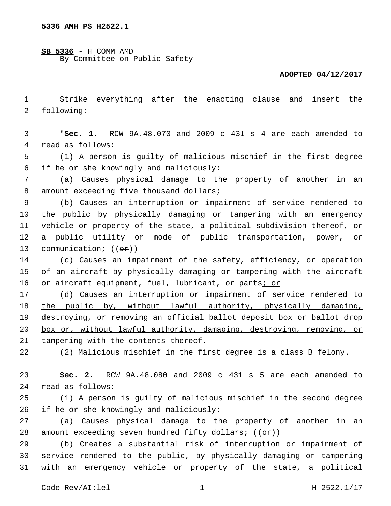**SB 5336** - H COMM AMD By Committee on Public Safety

## **ADOPTED 04/12/2017**

1 Strike everything after the enacting clause and insert the 2 following:

3 "**Sec. 1.** RCW 9A.48.070 and 2009 c 431 s 4 are each amended to 4 read as follows:

5 (1) A person is guilty of malicious mischief in the first degree if he or she knowingly and maliciously:6

7 (a) Causes physical damage to the property of another in an 8 amount exceeding five thousand dollars;

 (b) Causes an interruption or impairment of service rendered to the public by physically damaging or tampering with an emergency vehicle or property of the state, a political subdivision thereof, or a public utility or mode of public transportation, power, or 13 communication;  $((\theta \cdot \hat{r}))$ 

14 (c) Causes an impairment of the safety, efficiency, or operation 15 of an aircraft by physically damaging or tampering with the aircraft 16 or aircraft equipment, fuel, lubricant, or parts; or

17 (d) Causes an interruption or impairment of service rendered to 18 the public by, without lawful authority, physically damaging, 19 destroying, or removing an official ballot deposit box or ballot drop 20 box or, without lawful authority, damaging, destroying, removing, or 21 tampering with the contents thereof.

22 (2) Malicious mischief in the first degree is a class B felony.

23 **Sec. 2.** RCW 9A.48.080 and 2009 c 431 s 5 are each amended to 24 read as follows:

25 (1) A person is guilty of malicious mischief in the second degree 26 if he or she knowingly and maliciously:

27 (a) Causes physical damage to the property of another in an 28 amount exceeding seven hundred fifty dollars;  $((\theta \cdot \hat{r}))$ 

29 (b) Creates a substantial risk of interruption or impairment of 30 service rendered to the public, by physically damaging or tampering 31 with an emergency vehicle or property of the state, a political